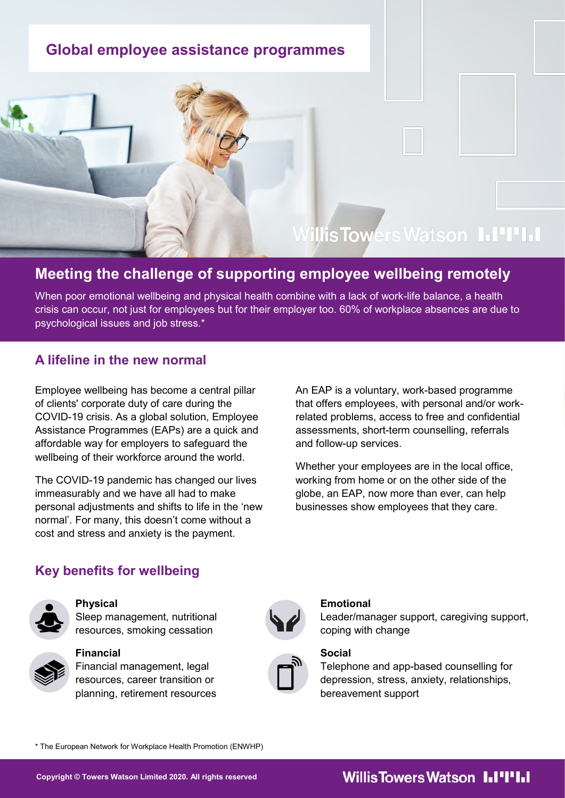## **Global employee assistance programmes**

# Willis Towers Watson I.I'I'I.I

## **Meeting the challenge of supporting employee wellbeing remotely**

When poor emotional wellbeing and physical health combine with a lack of work-life balance, a health crisis can occur, not just for employees but for their employer too. 60% of workplace absences are due to psychological issues and job stress.\*

## **A lifeline in the new normal**

Employee wellbeing has become a central pillar of clients' corporate duty of care during the COVID-19 crisis. As a global solution, Employee Assistance Programmes (EAPs) are a quick and affordable way for employers to safeguard the wellbeing of their workforce around the world.

The COVID-19 pandemic has changed our lives immeasurably and we have all had to make personal adjustments and shifts to life in the 'new normal'. For many, this doesn't come without a cost and stress and anxiety is the payment.

An EAP is a voluntary, work-based programme that offers employees, with personal and/or workrelated problems, access to free and confidential assessments, short-term counselling, referrals and follow-up services.

Whether your employees are in the local office, working from home or on the other side of the globe, an EAP, now more than ever, can help businesses show employees that they care.

## **Key benefits for wellbeing**



### **Physical**

Sleep management, nutritional resources, smoking cessation





# **Financial**

Financial management, legal resources, career transition or planning, retirement resources



### **Emotional**

Leader/manager support, caregiving support, coping with change

### **Social**

Telephone and app-based counselling for depression, stress, anxiety, relationships, bereavement support

\* The European Network for Workplace Health Promotion (ENWHP)